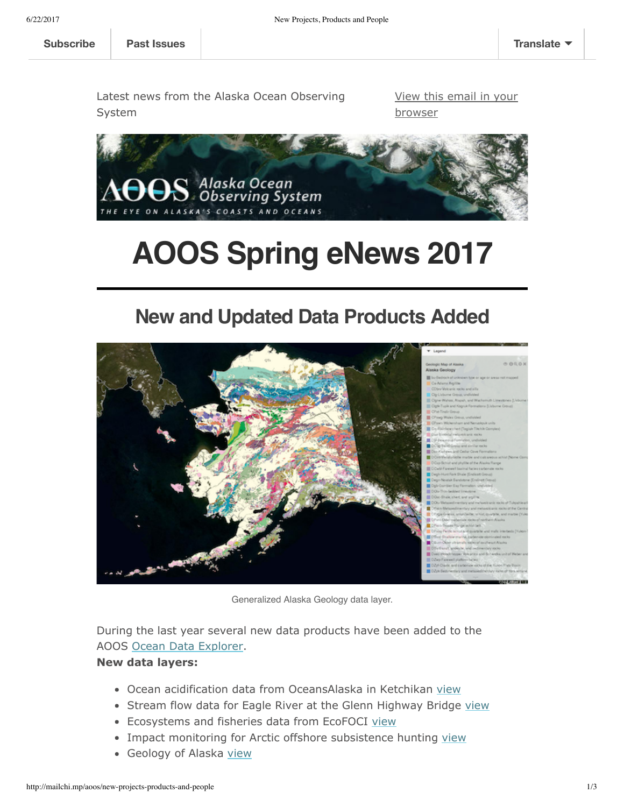Latest news from the Alaska Ocean Observing

System

[View this email in your](http://mailchi.mp/aoos/new-projects-products-and-people?e=[UNIQID]) browser



# **AOOS Spring eNews 2017**

#### **New and Updated Data Products Added**



Generalized Alaska Geology data layer.

During the last year several new data products have been added to the AOOS [Ocean Data Explorer](http://portal.aoos.org/).

#### **New data layers:**

- Ocean acidification data from OceansAlaska in Ketchikan [view](http://portal.aoos.org/#module-metadata/5da59d98-59ad-11e1-a1da-0019b9dae22b/8c5dd704-59ad-11e1-bb67-0019b9dae22b)
- Stream flow data for Eagle River at the Glenn Highway Bridge [view](http://portal.aoos.org/#module-metadata/0cbe63ce-87aa-11e3-acbf-00219bfe5678/467dd946-87aa-11e3-9eb2-00219bfe5678)
- **Ecosystems and fisheries data from EcoFOCI [view](http://portal.aoos.org/#module-metadata/c751be04-2990-43f5-8911-0d0037ba1dae/be39edae-8742-11e6-bee6-00265529168c)**
- Impact monitoring for Arctic offshore subsistence hunting [view](http://portal.aoos.org/#module-metadata/ec38e267-e4b5-4cec-a571-900c51396c87/3c2f6aea-a428-40c3-a7b9-9cf7b8b41638)
- Geology of Alaska [view](http://portal.aoos.org/#module-metadata/0cbab138-c1d8-48c7-9634-f9cd5b589da3/bf5685a0-b911-4246-9081-ffda4d4c12e3)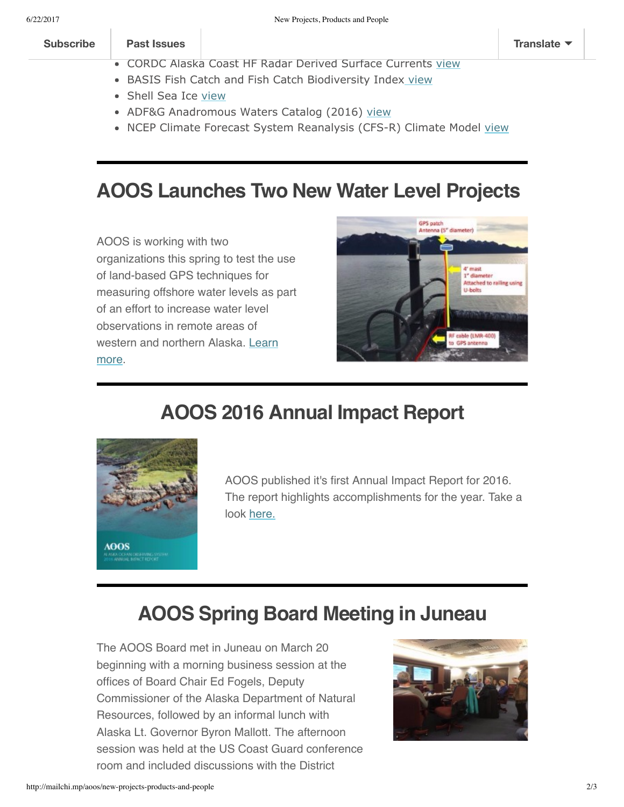#### **Past Issues [Subscribe](http://eepurl.com/LEKH5) Past Issues [Translate](javascript:;)**

- CORDC Alaska Coast HF Radar Derived Surface Currents [view](http://portal.aoos.org/#module-metadata/de91c282-01e2-11e2-ad19-00219bfe5678/9c31793f-cd35-4b29-9be4-1bada207616c)
- BASIS Fish Catch and Fish Catch Biodiversity Index [view](http://portal.aoos.org/#module-metadata/d4fe79aa-75b6-11e4-956f-00265529168c/56141368-63b2-11e4-95b2-00265529168c)
- Shell Sea Ice [view](http://portal.aoos.org/#module-metadata/f55d3aee-aa4e-11e3-bc55-00219bfe5678/a5b581f0-a9c1-11e3-94ee-00219bfe5678)
- ADF&G Anadromous Waters Catalog (2016) [view](http://portal.aoos.org/#module-metadata/a1f94266-a9d6-4620-b7e0-d0cf84bf4e8d/73d13ff5-6204-4ad0-9b8e-dfc7f569d14e)
- NCEP Climate Forecast System Reanalysis (CFS-R) Climate Model [view](http://portal.aoos.org/#module-metadata/f8cb79f6-7d59-11e3-a6ee-00219bfe5678/2deb2eca-f3f5-4eda-a132-112468711de7)

#### **AOOS Launches Two New Water Level Projects**

AOOS is working with two organizations this spring to test the use of land-based GPS techniques for measuring offshore water levels as part of an effort to increase water level observations in remote areas of [western and northern Alaska. Learn](http://www.aoos.org/new-aoos-projects-to-test-land-based-water-level-techniques/) more.



### **AOOS 2016 Annual Impact Report**



AOOS published it's first Annual Impact Report for 2016. The report highlights accomplishments for the year. Take a look [here.](http://www.aoos.org/wp-content/uploads/2017/03/2016_AOOS_Impact_Report_final_lowres.pdf)

### **AOOS Spring Board Meeting in Juneau**

The AOOS Board met in Juneau on March 20 beginning with a morning business session at the offices of Board Chair Ed Fogels, Deputy Commissioner of the Alaska Department of Natural Resources, followed by an informal lunch with Alaska Lt. Governor Byron Mallott. The afternoon session was held at the US Coast Guard conference room and included discussions with the District